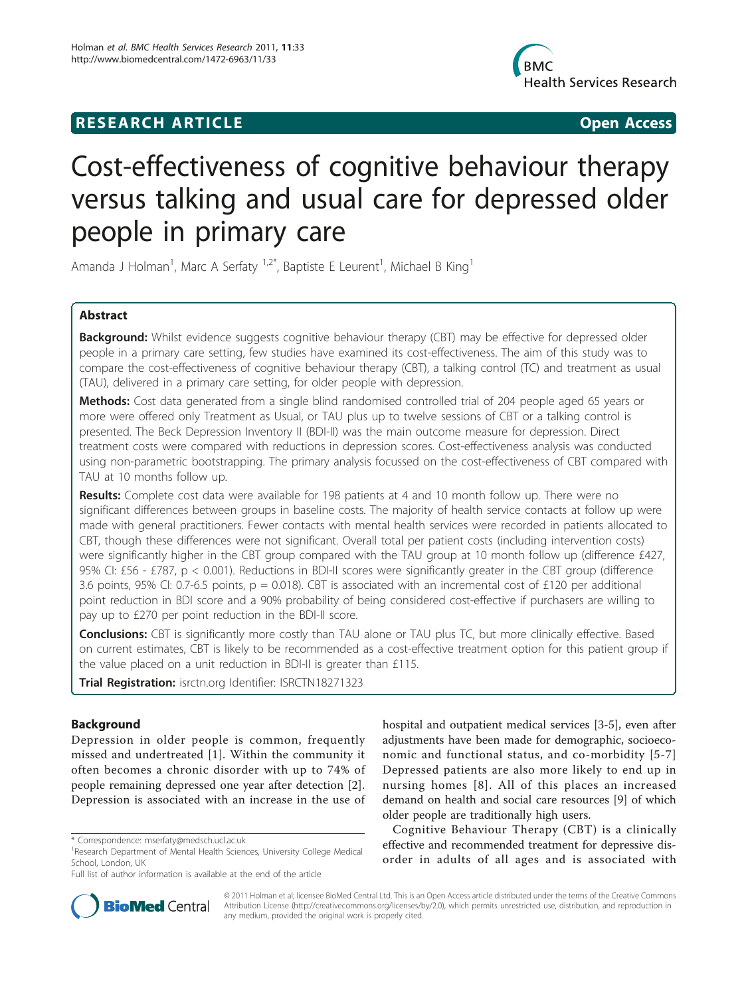## **RESEARCH ARTICLE Example 2018 CONSIDERING ACCESS**



# Cost-effectiveness of cognitive behaviour therapy versus talking and usual care for depressed older people in primary care

Amanda J Holman<sup>1</sup>, Marc A Serfaty <sup>1,2\*</sup>, Baptiste E Leurent<sup>1</sup>, Michael B King<sup>1</sup>

## Abstract

**Background:** Whilst evidence suggests cognitive behaviour therapy (CBT) may be effective for depressed older people in a primary care setting, few studies have examined its cost-effectiveness. The aim of this study was to compare the cost-effectiveness of cognitive behaviour therapy (CBT), a talking control (TC) and treatment as usual (TAU), delivered in a primary care setting, for older people with depression.

Methods: Cost data generated from a single blind randomised controlled trial of 204 people aged 65 years or more were offered only Treatment as Usual, or TAU plus up to twelve sessions of CBT or a talking control is presented. The Beck Depression Inventory II (BDI-II) was the main outcome measure for depression. Direct treatment costs were compared with reductions in depression scores. Cost-effectiveness analysis was conducted using non-parametric bootstrapping. The primary analysis focussed on the cost-effectiveness of CBT compared with TAU at 10 months follow up.

Results: Complete cost data were available for 198 patients at 4 and 10 month follow up. There were no significant differences between groups in baseline costs. The majority of health service contacts at follow up were made with general practitioners. Fewer contacts with mental health services were recorded in patients allocated to CBT, though these differences were not significant. Overall total per patient costs (including intervention costs) were significantly higher in the CBT group compared with the TAU group at 10 month follow up (difference £427, 95% CI: £56 - £787, p < 0.001). Reductions in BDI-II scores were significantly greater in the CBT group (difference 3.6 points, 95% CI: 0.7-6.5 points,  $p = 0.018$ ). CBT is associated with an incremental cost of £120 per additional point reduction in BDI score and a 90% probability of being considered cost-effective if purchasers are willing to pay up to £270 per point reduction in the BDI-II score.

Conclusions: CBT is significantly more costly than TAU alone or TAU plus TC, but more clinically effective. Based on current estimates, CBT is likely to be recommended as a cost-effective treatment option for this patient group if the value placed on a unit reduction in BDI-II is greater than £115.

Trial Registration: isrctn.org Identifier: [ISRCTN18271323](http://www.controlled-trials.com/ISRCTN18271323)

## Background

Depression in older people is common, frequently missed and undertreated [[1](#page-7-0)]. Within the community it often becomes a chronic disorder with up to 74% of people remaining depressed one year after detection [\[2](#page-7-0)]. Depression is associated with an increase in the use of



Cognitive Behaviour Therapy (CBT) is a clinically effective and recommended treatment for depressive disorder in adults of all ages and is associated with



© 2011 Holman et al; licensee BioMed Central Ltd. This is an Open Access article distributed under the terms of the Creative Commons Attribution License [\(http://creativecommons.org/licenses/by/2.0](http://creativecommons.org/licenses/by/2.0)), which permits unrestricted use, distribution, and reproduction in any medium, provided the original work is properly cited.

<sup>\*</sup> Correspondence: [mserfaty@medsch.ucl.ac.uk](mailto:mserfaty@medsch.ucl.ac.uk)

<sup>&</sup>lt;sup>1</sup> Research Department of Mental Health Sciences, University College Medical School, London, UK

Full list of author information is available at the end of the article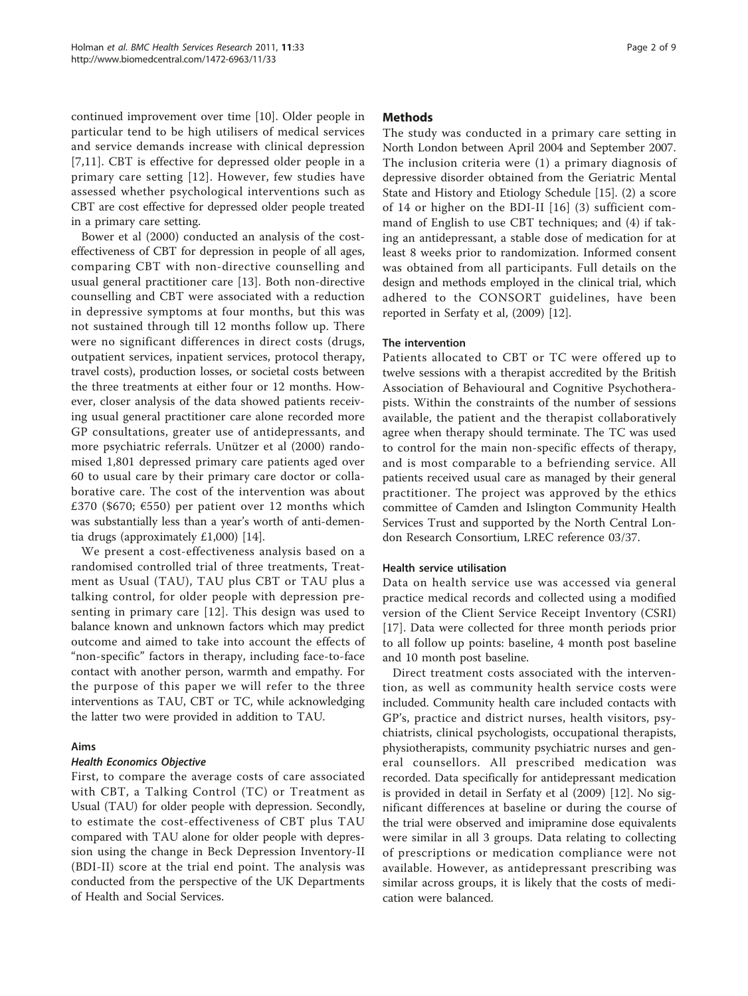continued improvement over time [\[10](#page-7-0)]. Older people in particular tend to be high utilisers of medical services and service demands increase with clinical depression [[7,11](#page-7-0)]. CBT is effective for depressed older people in a primary care setting [[12\]](#page-7-0). However, few studies have assessed whether psychological interventions such as CBT are cost effective for depressed older people treated in a primary care setting.

Bower et al (2000) conducted an analysis of the costeffectiveness of CBT for depression in people of all ages, comparing CBT with non-directive counselling and usual general practitioner care [\[13\]](#page-8-0). Both non-directive counselling and CBT were associated with a reduction in depressive symptoms at four months, but this was not sustained through till 12 months follow up. There were no significant differences in direct costs (drugs, outpatient services, inpatient services, protocol therapy, travel costs), production losses, or societal costs between the three treatments at either four or 12 months. However, closer analysis of the data showed patients receiving usual general practitioner care alone recorded more GP consultations, greater use of antidepressants, and more psychiatric referrals. Unützer et al (2000) randomised 1,801 depressed primary care patients aged over 60 to usual care by their primary care doctor or collaborative care. The cost of the intervention was about £370 (\$670;  $\epsilon$ 550) per patient over 12 months which was substantially less than a year's worth of anti-dementia drugs (approximately £1,000) [\[14\]](#page-8-0).

We present a cost-effectiveness analysis based on a randomised controlled trial of three treatments, Treatment as Usual (TAU), TAU plus CBT or TAU plus a talking control, for older people with depression presenting in primary care [[12](#page-7-0)]. This design was used to balance known and unknown factors which may predict outcome and aimed to take into account the effects of "non-specific" factors in therapy, including face-to-face contact with another person, warmth and empathy. For the purpose of this paper we will refer to the three interventions as TAU, CBT or TC, while acknowledging the latter two were provided in addition to TAU.

## Aims

## Health Economics Objective

First, to compare the average costs of care associated with CBT, a Talking Control (TC) or Treatment as Usual (TAU) for older people with depression. Secondly, to estimate the cost-effectiveness of CBT plus TAU compared with TAU alone for older people with depression using the change in Beck Depression Inventory-II (BDI-II) score at the trial end point. The analysis was conducted from the perspective of the UK Departments of Health and Social Services.

## Methods

The study was conducted in a primary care setting in North London between April 2004 and September 2007. The inclusion criteria were (1) a primary diagnosis of depressive disorder obtained from the Geriatric Mental State and History and Etiology Schedule [[15\]](#page-8-0). (2) a score of 14 or higher on the BDI-II [[16\]](#page-8-0) (3) sufficient command of English to use CBT techniques; and (4) if taking an antidepressant, a stable dose of medication for at least 8 weeks prior to randomization. Informed consent was obtained from all participants. Full details on the design and methods employed in the clinical trial, which adhered to the CONSORT guidelines, have been reported in Serfaty et al, (2009) [\[12\]](#page-7-0).

## The intervention

Patients allocated to CBT or TC were offered up to twelve sessions with a therapist accredited by the British Association of Behavioural and Cognitive Psychotherapists. Within the constraints of the number of sessions available, the patient and the therapist collaboratively agree when therapy should terminate. The TC was used to control for the main non-specific effects of therapy, and is most comparable to a befriending service. All patients received usual care as managed by their general practitioner. The project was approved by the ethics committee of Camden and Islington Community Health Services Trust and supported by the North Central London Research Consortium, LREC reference 03/37.

## Health service utilisation

Data on health service use was accessed via general practice medical records and collected using a modified version of the Client Service Receipt Inventory (CSRI) [[17\]](#page-8-0). Data were collected for three month periods prior to all follow up points: baseline, 4 month post baseline and 10 month post baseline.

Direct treatment costs associated with the intervention, as well as community health service costs were included. Community health care included contacts with GP's, practice and district nurses, health visitors, psychiatrists, clinical psychologists, occupational therapists, physiotherapists, community psychiatric nurses and general counsellors. All prescribed medication was recorded. Data specifically for antidepressant medication is provided in detail in Serfaty et al (2009) [[12\]](#page-7-0). No significant differences at baseline or during the course of the trial were observed and imipramine dose equivalents were similar in all 3 groups. Data relating to collecting of prescriptions or medication compliance were not available. However, as antidepressant prescribing was similar across groups, it is likely that the costs of medication were balanced.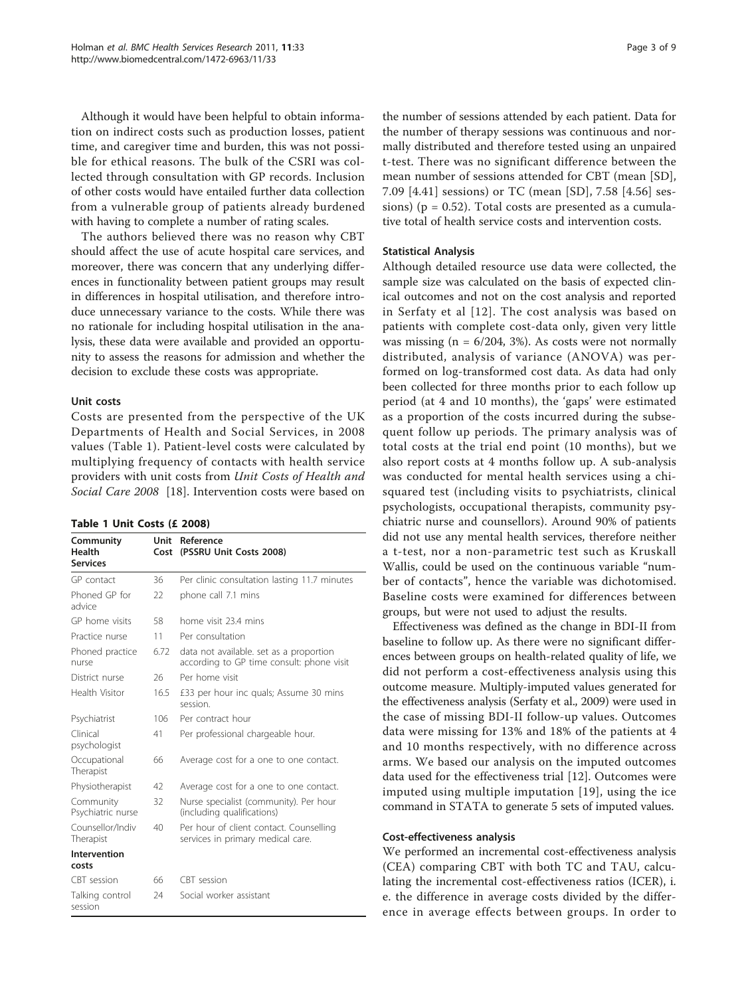Although it would have been helpful to obtain information on indirect costs such as production losses, patient time, and caregiver time and burden, this was not possible for ethical reasons. The bulk of the CSRI was collected through consultation with GP records. Inclusion of other costs would have entailed further data collection from a vulnerable group of patients already burdened with having to complete a number of rating scales.

The authors believed there was no reason why CBT should affect the use of acute hospital care services, and moreover, there was concern that any underlying differences in functionality between patient groups may result in differences in hospital utilisation, and therefore introduce unnecessary variance to the costs. While there was no rationale for including hospital utilisation in the analysis, these data were available and provided an opportunity to assess the reasons for admission and whether the decision to exclude these costs was appropriate.

#### Unit costs

Costs are presented from the perspective of the UK Departments of Health and Social Services, in 2008 values (Table 1). Patient-level costs were calculated by multiplying frequency of contacts with health service providers with unit costs from Unit Costs of Health and Social Care 2008 [[18\]](#page-8-0). Intervention costs were based on

#### Table 1 Unit Costs (£ 2008)

| Community<br><b>Health</b><br><b>Services</b> | Unit<br>Cost | Reference<br>(PSSRU Unit Costs 2008)                                                 |
|-----------------------------------------------|--------------|--------------------------------------------------------------------------------------|
| GP contact                                    | 36           | Per clinic consultation lasting 11.7 minutes                                         |
| Phoned GP for<br>advice                       | 22           | phone call 7.1 mins                                                                  |
| GP home visits                                | 58           | home visit 23.4 mins                                                                 |
| Practice nurse                                | 11           | Per consultation                                                                     |
| Phoned practice<br>nurse                      | 6.72         | data not available, set as a proportion<br>according to GP time consult: phone visit |
| District nurse                                | 26           | Per home visit                                                                       |
| Health Visitor                                | 16.5         | £33 per hour inc quals; Assume 30 mins<br>session                                    |
| Psychiatrist                                  | 106          | Per contract hour                                                                    |
| Clinical<br>psychologist                      | 41           | Per professional chargeable hour.                                                    |
| Occupational<br>Therapist                     | 66           | Average cost for a one to one contact.                                               |
| Physiotherapist                               | 42           | Average cost for a one to one contact.                                               |
| Community<br>Psychiatric nurse                | 32           | Nurse specialist (community). Per hour<br>(including qualifications)                 |
| Counsellor/Indiv<br>Therapist                 | 40           | Per hour of client contact. Counselling<br>services in primary medical care.         |
| Intervention                                  |              |                                                                                      |
| costs                                         |              |                                                                                      |
| CBT session                                   | 66           | CBT session                                                                          |
| Talking control<br>session                    | 24           | Social worker assistant                                                              |

the number of sessions attended by each patient. Data for the number of therapy sessions was continuous and normally distributed and therefore tested using an unpaired t-test. There was no significant difference between the mean number of sessions attended for CBT (mean [SD], 7.09 [4.41] sessions) or TC (mean [SD], 7.58 [4.56] sessions) ( $p = 0.52$ ). Total costs are presented as a cumulative total of health service costs and intervention costs.

#### Statistical Analysis

Although detailed resource use data were collected, the sample size was calculated on the basis of expected clinical outcomes and not on the cost analysis and reported in Serfaty et al [[12\]](#page-7-0). The cost analysis was based on patients with complete cost-data only, given very little was missing  $(n = 6/204, 3\%)$ . As costs were not normally distributed, analysis of variance (ANOVA) was performed on log-transformed cost data. As data had only been collected for three months prior to each follow up period (at 4 and 10 months), the 'gaps' were estimated as a proportion of the costs incurred during the subsequent follow up periods. The primary analysis was of total costs at the trial end point (10 months), but we also report costs at 4 months follow up. A sub-analysis was conducted for mental health services using a chisquared test (including visits to psychiatrists, clinical psychologists, occupational therapists, community psychiatric nurse and counsellors). Around 90% of patients did not use any mental health services, therefore neither a t-test, nor a non-parametric test such as Kruskall Wallis, could be used on the continuous variable "number of contacts", hence the variable was dichotomised. Baseline costs were examined for differences between groups, but were not used to adjust the results.

Effectiveness was defined as the change in BDI-II from baseline to follow up. As there were no significant differences between groups on health-related quality of life, we did not perform a cost-effectiveness analysis using this outcome measure. Multiply-imputed values generated for the effectiveness analysis (Serfaty et al., 2009) were used in the case of missing BDI-II follow-up values. Outcomes data were missing for 13% and 18% of the patients at 4 and 10 months respectively, with no difference across arms. We based our analysis on the imputed outcomes data used for the effectiveness trial [\[12](#page-7-0)]. Outcomes were imputed using multiple imputation [[19](#page-8-0)], using the ice command in STATA to generate 5 sets of imputed values.

#### Cost-effectiveness analysis

We performed an incremental cost-effectiveness analysis (CEA) comparing CBT with both TC and TAU, calculating the incremental cost-effectiveness ratios (ICER), i. e. the difference in average costs divided by the difference in average effects between groups. In order to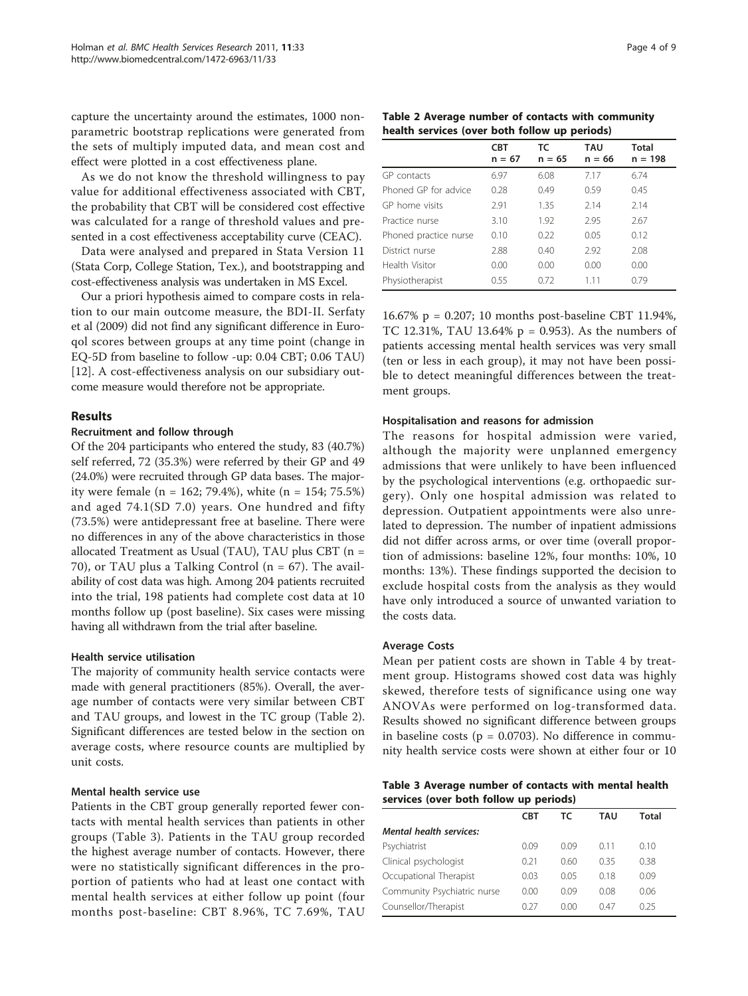capture the uncertainty around the estimates, 1000 nonparametric bootstrap replications were generated from the sets of multiply imputed data, and mean cost and effect were plotted in a cost effectiveness plane.

As we do not know the threshold willingness to pay value for additional effectiveness associated with CBT, the probability that CBT will be considered cost effective was calculated for a range of threshold values and presented in a cost effectiveness acceptability curve (CEAC).

Data were analysed and prepared in Stata Version 11 (Stata Corp, College Station, Tex.), and bootstrapping and cost-effectiveness analysis was undertaken in MS Excel.

Our a priori hypothesis aimed to compare costs in relation to our main outcome measure, the BDI-II. Serfaty et al (2009) did not find any significant difference in Euroqol scores between groups at any time point (change in EQ-5D from baseline to follow -up: 0.04 CBT; 0.06 TAU) [[12\]](#page-7-0). A cost-effectiveness analysis on our subsidiary outcome measure would therefore not be appropriate.

## Results

#### Recruitment and follow through

Of the 204 participants who entered the study, 83 (40.7%) self referred, 72 (35.3%) were referred by their GP and 49 (24.0%) were recruited through GP data bases. The majority were female (n = 162; 79.4%), white (n = 154; 75.5%) and aged 74.1(SD 7.0) years. One hundred and fifty (73.5%) were antidepressant free at baseline. There were no differences in any of the above characteristics in those allocated Treatment as Usual (TAU), TAU plus CBT (n = 70), or TAU plus a Talking Control ( $n = 67$ ). The availability of cost data was high. Among 204 patients recruited into the trial, 198 patients had complete cost data at 10 months follow up (post baseline). Six cases were missing having all withdrawn from the trial after baseline.

#### Health service utilisation

The majority of community health service contacts were made with general practitioners (85%). Overall, the average number of contacts were very similar between CBT and TAU groups, and lowest in the TC group (Table 2). Significant differences are tested below in the section on average costs, where resource counts are multiplied by unit costs.

## Mental health service use

Patients in the CBT group generally reported fewer contacts with mental health services than patients in other groups (Table 3). Patients in the TAU group recorded the highest average number of contacts. However, there were no statistically significant differences in the proportion of patients who had at least one contact with mental health services at either follow up point (four months post-baseline: CBT 8.96%, TC 7.69%, TAU

|                                               |  |  | Table 2 Average number of contacts with community |
|-----------------------------------------------|--|--|---------------------------------------------------|
| health services (over both follow up periods) |  |  |                                                   |

|                       | <b>CBT</b><br>$n = 67$ | TC<br>$n = 65$ | <b>TAU</b><br>$n = 66$ | <b>Total</b><br>$n = 198$ |
|-----------------------|------------------------|----------------|------------------------|---------------------------|
| GP contacts           | 6.97                   | 6.08           | 7.17                   | 6.74                      |
| Phoned GP for advice  | 0.28                   | 0.49           | 0.59                   | 0.45                      |
| GP home visits        | 2.91                   | 1.35           | 2.14                   | 2.14                      |
| Practice nurse        | 3.10                   | 1.92           | 2.95                   | 2.67                      |
| Phoned practice nurse | 0.10                   | 0.22           | 0.05                   | 0.12                      |
| District nurse        | 2.88                   | 0.40           | 2.92                   | 2.08                      |
| Health Visitor        | 0.00                   | 0.00           | 0.00                   | 0.00                      |
| Physiotherapist       | 0.55                   | 0.72           | 1 1 1                  | 0.79                      |

16.67% p = 0.207; 10 months post-baseline CBT 11.94%, TC 12.31%, TAU 13.64% p = 0.953). As the numbers of patients accessing mental health services was very small (ten or less in each group), it may not have been possible to detect meaningful differences between the treatment groups.

#### Hospitalisation and reasons for admission

The reasons for hospital admission were varied, although the majority were unplanned emergency admissions that were unlikely to have been influenced by the psychological interventions (e.g. orthopaedic surgery). Only one hospital admission was related to depression. Outpatient appointments were also unrelated to depression. The number of inpatient admissions did not differ across arms, or over time (overall proportion of admissions: baseline 12%, four months: 10%, 10 months: 13%). These findings supported the decision to exclude hospital costs from the analysis as they would have only introduced a source of unwanted variation to the costs data.

#### Average Costs

Mean per patient costs are shown in Table [4](#page-4-0) by treatment group. Histograms showed cost data was highly skewed, therefore tests of significance using one way ANOVAs were performed on log-transformed data. Results showed no significant difference between groups in baseline costs ( $p = 0.0703$ ). No difference in community health service costs were shown at either four or 10

| Table 3 Average number of contacts with mental health |  |  |
|-------------------------------------------------------|--|--|
| services (over both follow up periods)                |  |  |

|                                | <b>CBT</b> | тс   | TAU  | Total |
|--------------------------------|------------|------|------|-------|
| <b>Mental health services:</b> |            |      |      |       |
| Psychiatrist                   | 0.09       | 0.O9 | 0.11 | 0.10  |
| Clinical psychologist          | 0.21       | 0.60 | 035  | 0.38  |
| Occupational Therapist         | 0.03       | O 05 | 0.18 | 0.09  |
| Community Psychiatric nurse    | 0.00       | 0.09 | 0.08 | 0.06  |
| Counsellor/Therapist           | 0 2 7      | 0.00 | 047  | 025   |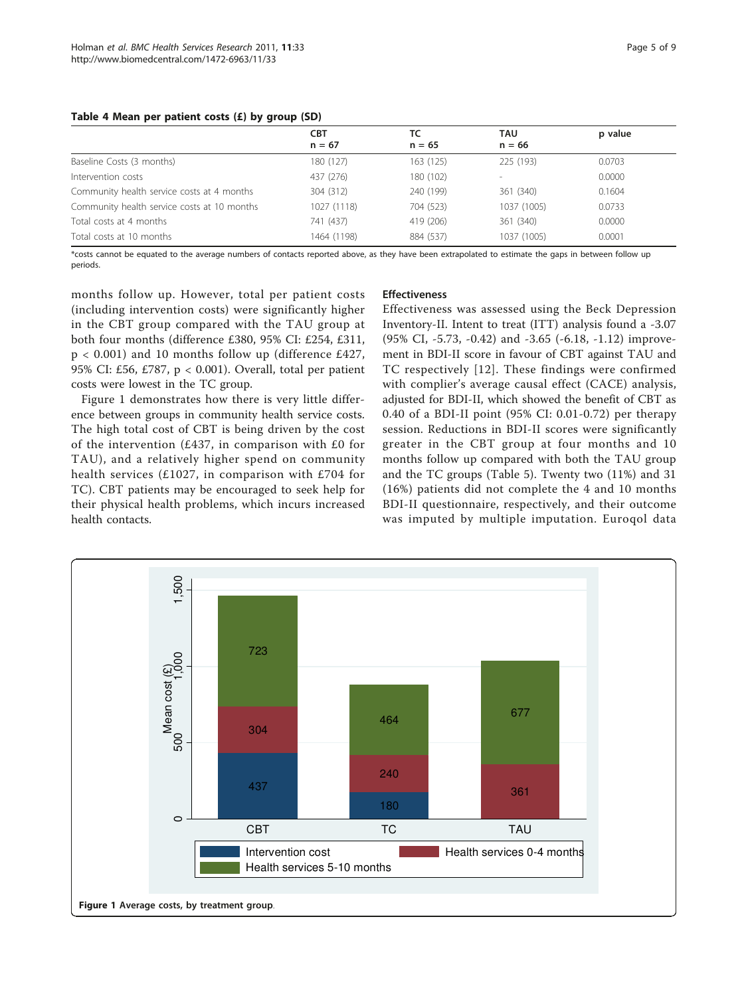#### <span id="page-4-0"></span>Table 4 Mean per patient costs (£) by group (SD)

|                                             | <b>CBT</b>  | ТC        | TAU         | p value |
|---------------------------------------------|-------------|-----------|-------------|---------|
|                                             | $n = 67$    | $n = 65$  | $n = 66$    |         |
| Baseline Costs (3 months)                   | 180 (127)   | 163 (125) | 225 (193)   | 0.0703  |
| Intervention costs                          | 437 (276)   | 180 (102) | $\sim$      | 0.0000  |
| Community health service costs at 4 months  | 304 (312)   | 240 (199) | 361 (340)   | 0.1604  |
| Community health service costs at 10 months | 1027 (1118) | 704 (523) | 1037 (1005) | 0.0733  |
| Total costs at 4 months                     | 741 (437)   | 419 (206) | 361 (340)   | 0.0000  |
| Total costs at 10 months                    | 1464 (1198) | 884 (537) | 1037 (1005) | 0.0001  |

\*costs cannot be equated to the average numbers of contacts reported above, as they have been extrapolated to estimate the gaps in between follow up periods.

months follow up. However, total per patient costs (including intervention costs) were significantly higher in the CBT group compared with the TAU group at both four months (difference £380, 95% CI: £254, £311, p < 0.001) and 10 months follow up (difference £427, 95% CI: £56, £787, p < 0.001). Overall, total per patient costs were lowest in the TC group.

Figure 1 demonstrates how there is very little difference between groups in community health service costs. The high total cost of CBT is being driven by the cost of the intervention (£437, in comparison with  $£0$  for TAU), and a relatively higher spend on community health services (£1027, in comparison with £704 for TC). CBT patients may be encouraged to seek help for their physical health problems, which incurs increased health contacts.

## Effectiveness

Effectiveness was assessed using the Beck Depression Inventory-II. Intent to treat (ITT) analysis found a -3.07 (95% CI, -5.73, -0.42) and -3.65 (-6.18, -1.12) improvement in BDI-II score in favour of CBT against TAU and TC respectively [[12](#page-7-0)]. These findings were confirmed with complier's average causal effect (CACE) analysis, adjusted for BDI-II, which showed the benefit of CBT as 0.40 of a BDI-II point (95% CI: 0.01-0.72) per therapy session. Reductions in BDI-II scores were significantly greater in the CBT group at four months and 10 months follow up compared with both the TAU group and the TC groups (Table [5](#page-5-0)). Twenty two (11%) and 31 (16%) patients did not complete the 4 and 10 months BDI-II questionnaire, respectively, and their outcome was imputed by multiple imputation. Euroqol data

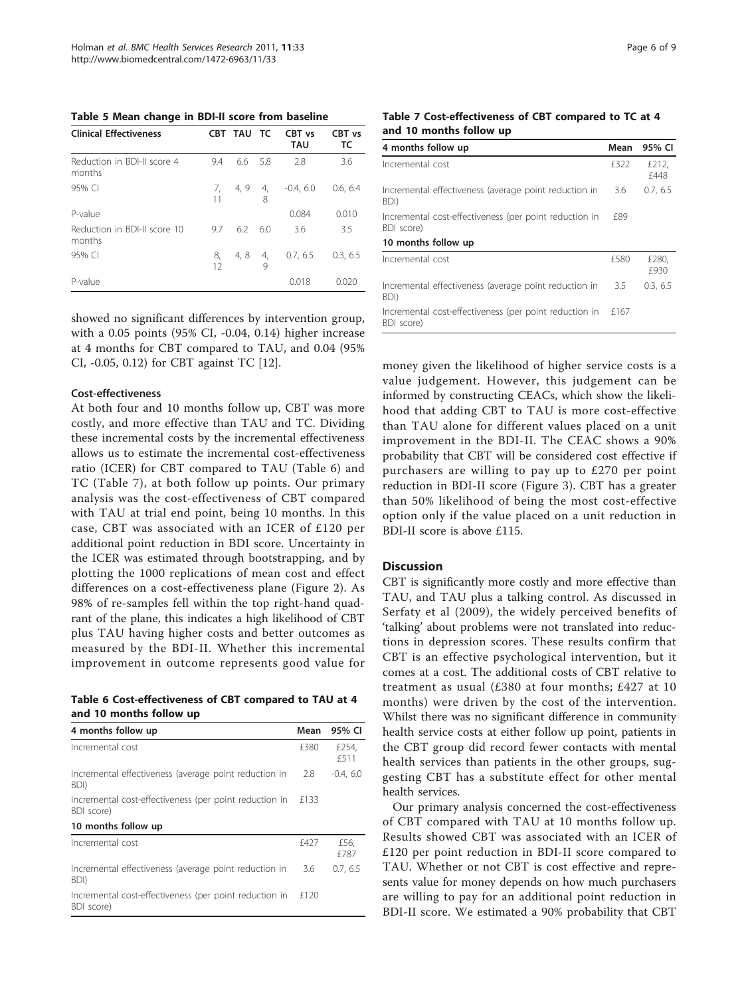<span id="page-5-0"></span>Table 5 Mean change in BDI-II score from baseline

| <b>Clinical Effectiveness</b>          |          | CBT TAU TC |         | CBT vs<br><b>TAU</b> | CBT vs<br>ТC |
|----------------------------------------|----------|------------|---------|----------------------|--------------|
| Reduction in BDI-II score 4<br>months  | 9.4      | 6.6        | -5.8    | 2.8                  | 3.6          |
| 95% CI                                 | 7,<br>11 | 4, 9       | 4,<br>8 | $-0.4, 6.0$          | 0.6, 6.4     |
| P-value                                |          |            |         | 0.084                | 0.010        |
| Reduction in BDI-II score 10<br>months | 9.7      | 6.2        | 6.0     | 3.6                  | 3.5          |
| 95% CI                                 | 8,<br>12 | 4,8        | 4,<br>9 | 0.7, 6.5             | 0.3.6.5      |
| P-value                                |          |            |         | 0.018                | 0.020        |

showed no significant differences by intervention group, with a 0.05 points (95% CI, -0.04, 0.14) higher increase at 4 months for CBT compared to TAU, and 0.04 (95% CI, -0.05, 0.12) for CBT against TC [[12\]](#page-7-0).

#### Cost-effectiveness

At both four and 10 months follow up, CBT was more costly, and more effective than TAU and TC. Dividing these incremental costs by the incremental effectiveness allows us to estimate the incremental cost-effectiveness ratio (ICER) for CBT compared to TAU (Table 6) and TC (Table 7), at both follow up points. Our primary analysis was the cost-effectiveness of CBT compared with TAU at trial end point, being 10 months. In this case, CBT was associated with an ICER of £120 per additional point reduction in BDI score. Uncertainty in the ICER was estimated through bootstrapping, and by plotting the 1000 replications of mean cost and effect differences on a cost-effectiveness plane (Figure [2\)](#page-6-0). As 98% of re-samples fell within the top right-hand quadrant of the plane, this indicates a high likelihood of CBT plus TAU having higher costs and better outcomes as measured by the BDI-II. Whether this incremental improvement in outcome represents good value for

Table 6 Cost-effectiveness of CBT compared to TAU at 4 and 10 months follow up

| 4 months follow up                                                   | Mean | 95% CI        |
|----------------------------------------------------------------------|------|---------------|
| Incremental cost                                                     | £380 | £254.<br>f511 |
| Incremental effectiveness (average point reduction in<br>BDI)        | 2.8  | $-0.4, 6.0$   |
| Incremental cost-effectiveness (per point reduction in<br>BDI score) | £133 |               |
| 10 months follow up                                                  |      |               |
| Incremental cost                                                     | £427 | £56,<br>f 787 |
| Incremental effectiveness (average point reduction in<br>BDI)        | 3.6  | 0.7, 6.5      |
| Incremental cost-effectiveness (per point reduction in<br>BDI score) | £120 |               |

Table 7 Cost-effectiveness of CBT compared to TC at 4 and 10 months follow up

| 4 months follow up                                                   | Mean | 95% CI        |
|----------------------------------------------------------------------|------|---------------|
| Incremental cost                                                     | £322 | £212,<br>£448 |
| Incremental effectiveness (average point reduction in<br>BDI)        | 3.6  | 0.7, 6.5      |
| Incremental cost-effectiveness (per point reduction in<br>BDI score) | f89  |               |
| 10 months follow up                                                  |      |               |
| Incremental cost                                                     | £580 | £280.<br>£930 |
| Incremental effectiveness (average point reduction in<br>BDI)        | 3.5  | 0.3, 6.5      |
| Incremental cost-effectiveness (per point reduction in<br>BDI score) | £167 |               |

money given the likelihood of higher service costs is a value judgement. However, this judgement can be informed by constructing CEACs, which show the likelihood that adding CBT to TAU is more cost-effective than TAU alone for different values placed on a unit improvement in the BDI-II. The CEAC shows a 90% probability that CBT will be considered cost effective if purchasers are willing to pay up to £270 per point reduction in BDI-II score (Figure [3](#page-6-0)). CBT has a greater than 50% likelihood of being the most cost-effective option only if the value placed on a unit reduction in BDI-II score is above £115.

#### **Discussion**

CBT is significantly more costly and more effective than TAU, and TAU plus a talking control. As discussed in Serfaty et al (2009), the widely perceived benefits of 'talking' about problems were not translated into reductions in depression scores. These results confirm that CBT is an effective psychological intervention, but it comes at a cost. The additional costs of CBT relative to treatment as usual (£380 at four months; £427 at 10 months) were driven by the cost of the intervention. Whilst there was no significant difference in community health service costs at either follow up point, patients in the CBT group did record fewer contacts with mental health services than patients in the other groups, suggesting CBT has a substitute effect for other mental health services.

Our primary analysis concerned the cost-effectiveness of CBT compared with TAU at 10 months follow up. Results showed CBT was associated with an ICER of £120 per point reduction in BDI-II score compared to TAU. Whether or not CBT is cost effective and represents value for money depends on how much purchasers are willing to pay for an additional point reduction in BDI-II score. We estimated a 90% probability that CBT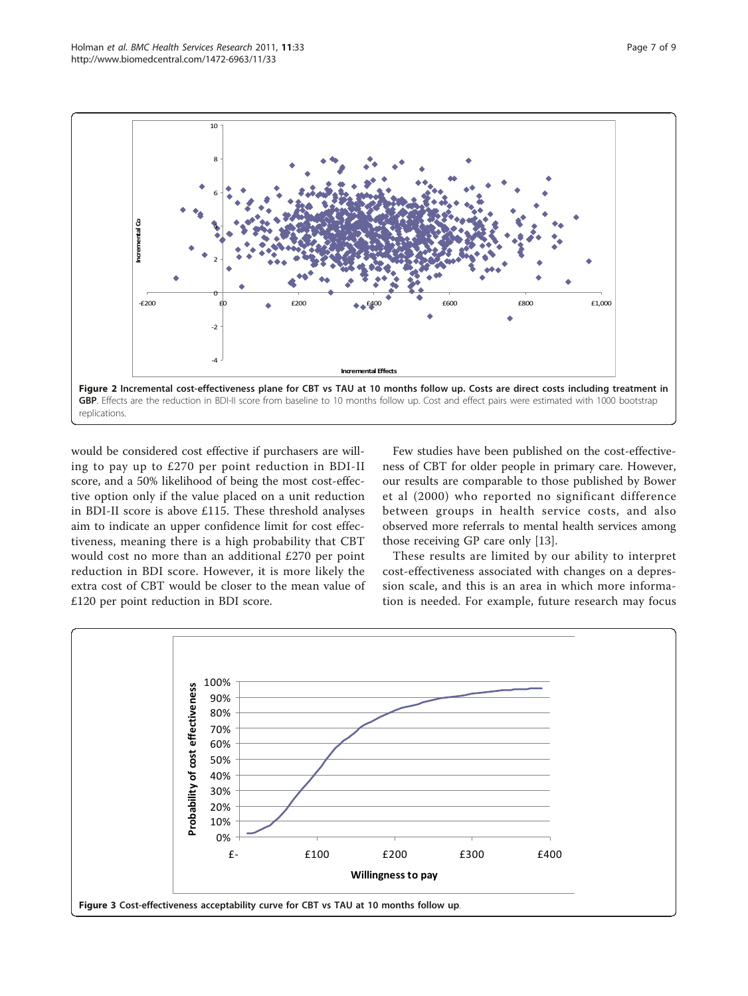<span id="page-6-0"></span>

would be considered cost effective if purchasers are willing to pay up to £270 per point reduction in BDI-II score, and a 50% likelihood of being the most cost-effective option only if the value placed on a unit reduction in BDI-II score is above £115. These threshold analyses aim to indicate an upper confidence limit for cost effectiveness, meaning there is a high probability that CBT would cost no more than an additional £270 per point reduction in BDI score. However, it is more likely the extra cost of CBT would be closer to the mean value of £120 per point reduction in BDI score.

Few studies have been published on the cost-effectiveness of CBT for older people in primary care. However, our results are comparable to those published by Bower et al (2000) who reported no significant difference between groups in health service costs, and also observed more referrals to mental health services among those receiving GP care only [\[13\]](#page-8-0).

These results are limited by our ability to interpret cost-effectiveness associated with changes on a depression scale, and this is an area in which more information is needed. For example, future research may focus

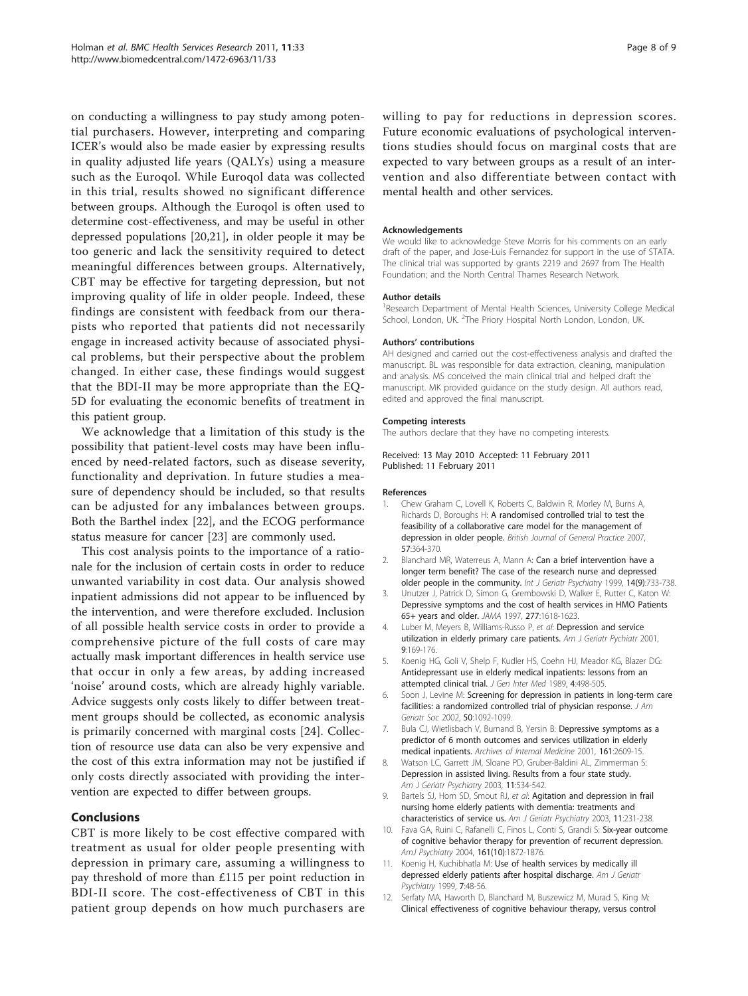<span id="page-7-0"></span>on conducting a willingness to pay study among potential purchasers. However, interpreting and comparing ICER's would also be made easier by expressing results in quality adjusted life years (QALYs) using a measure such as the Euroqol. While Euroqol data was collected in this trial, results showed no significant difference between groups. Although the Euroqol is often used to determine cost-effectiveness, and may be useful in other depressed populations [[20,21\]](#page-8-0), in older people it may be too generic and lack the sensitivity required to detect meaningful differences between groups. Alternatively, CBT may be effective for targeting depression, but not improving quality of life in older people. Indeed, these findings are consistent with feedback from our therapists who reported that patients did not necessarily engage in increased activity because of associated physical problems, but their perspective about the problem changed. In either case, these findings would suggest that the BDI-II may be more appropriate than the EQ-5D for evaluating the economic benefits of treatment in this patient group.

We acknowledge that a limitation of this study is the possibility that patient-level costs may have been influenced by need-related factors, such as disease severity, functionality and deprivation. In future studies a measure of dependency should be included, so that results can be adjusted for any imbalances between groups. Both the Barthel index [\[22](#page-8-0)], and the ECOG performance status measure for cancer [\[23](#page-8-0)] are commonly used.

This cost analysis points to the importance of a rationale for the inclusion of certain costs in order to reduce unwanted variability in cost data. Our analysis showed inpatient admissions did not appear to be influenced by the intervention, and were therefore excluded. Inclusion of all possible health service costs in order to provide a comprehensive picture of the full costs of care may actually mask important differences in health service use that occur in only a few areas, by adding increased 'noise' around costs, which are already highly variable. Advice suggests only costs likely to differ between treatment groups should be collected, as economic analysis is primarily concerned with marginal costs [\[24](#page-8-0)]. Collection of resource use data can also be very expensive and the cost of this extra information may not be justified if only costs directly associated with providing the intervention are expected to differ between groups.

## Conclusions

CBT is more likely to be cost effective compared with treatment as usual for older people presenting with depression in primary care, assuming a willingness to pay threshold of more than £115 per point reduction in BDI-II score. The cost-effectiveness of CBT in this patient group depends on how much purchasers are willing to pay for reductions in depression scores. Future economic evaluations of psychological interventions studies should focus on marginal costs that are expected to vary between groups as a result of an intervention and also differentiate between contact with

#### Acknowledgements

mental health and other services.

We would like to acknowledge Steve Morris for his comments on an early draft of the paper, and Jose-Luis Fernandez for support in the use of STATA. The clinical trial was supported by grants 2219 and 2697 from The Health Foundation; and the North Central Thames Research Network.

#### Author details

<sup>1</sup> Research Department of Mental Health Sciences, University College Medical School, London, UK. <sup>2</sup>The Priory Hospital North London, London, UK

#### Authors' contributions

AH designed and carried out the cost-effectiveness analysis and drafted the manuscript. BL was responsible for data extraction, cleaning, manipulation and analysis. MS conceived the main clinical trial and helped draft the manuscript. MK provided guidance on the study design. All authors read, edited and approved the final manuscript.

#### Competing interests

The authors declare that they have no competing interests.

Received: 13 May 2010 Accepted: 11 February 2011 Published: 11 February 2011

#### References

- 1. Chew Graham C, Lovell K, Roberts C, Baldwin R, Morley M, Burns A, Richards D, Boroughs H: [A randomised controlled trial to test the](http://www.ncbi.nlm.nih.gov/pubmed/17504586?dopt=Abstract) [feasibility of a collaborative care model for the management of](http://www.ncbi.nlm.nih.gov/pubmed/17504586?dopt=Abstract) [depression in older people.](http://www.ncbi.nlm.nih.gov/pubmed/17504586?dopt=Abstract) British Journal of General Practice 2007, 57:364-370.
- 2. Blanchard MR, Waterreus A, Mann A: [Can a brief intervention have a](http://www.ncbi.nlm.nih.gov/pubmed/10479744?dopt=Abstract) [longer term benefit? The case of the research nurse and depressed](http://www.ncbi.nlm.nih.gov/pubmed/10479744?dopt=Abstract) [older people in the community.](http://www.ncbi.nlm.nih.gov/pubmed/10479744?dopt=Abstract) Int J Geriatr Psychiatry 1999, 14(9):733-738.
- 3. Unutzer J, Patrick D, Simon G, Grembowski D, Walker E, Rutter C, Katon W: [Depressive symptoms and the cost of health services in HMO Patients](http://www.ncbi.nlm.nih.gov/pubmed/9168292?dopt=Abstract) [65+ years and older.](http://www.ncbi.nlm.nih.gov/pubmed/9168292?dopt=Abstract) JAMA 1997, 277:1618-1623.
- 4. Luber M, Meyers B, Williams-Russo P, et al: Depression and service utilization in elderly primary care patients. Am J Geriatr Pychiatr 2001, 9:169-176.
- 5. Koenig HG, Goli V, Shelp F, Kudler HS, Coehn HJ, Meador KG, Blazer DG: Antidepressant use in elderly medical inpatients: lessons from an attempted clinical trial. J Gen Inter Med 1989, 4:498-505.
- 6. Soon J, Levine M: [Screening for depression in patients in long-term care](http://www.ncbi.nlm.nih.gov/pubmed/12110071?dopt=Abstract) [facilities: a randomized controlled trial of physician response.](http://www.ncbi.nlm.nih.gov/pubmed/12110071?dopt=Abstract) J Am Geriatr Soc 2002, 50:1092-1099.
- 7. Bula CJ, Wietlisbach V, Burnand B, Yersin B: [Depressive symptoms as a](http://www.ncbi.nlm.nih.gov/pubmed/11718593?dopt=Abstract) [predictor of 6 month outcomes and services utilization in elderly](http://www.ncbi.nlm.nih.gov/pubmed/11718593?dopt=Abstract) [medical inpatients.](http://www.ncbi.nlm.nih.gov/pubmed/11718593?dopt=Abstract) Archives of Internal Medicine 2001, 161:2609-15.
- Watson LC, Garrett JM, Sloane PD, Gruber-Baldini AL, Zimmerman S: [Depression in assisted living. Results from a four state study.](http://www.ncbi.nlm.nih.gov/pubmed/14506087?dopt=Abstract) Am J Geriatr Psychiatry 2003, 11:534-542.
- 9. Bartels SJ, Horn SD, Smout RJ, et al: [Agitation and depression in frail](http://www.ncbi.nlm.nih.gov/pubmed/12611753?dopt=Abstract) [nursing home elderly patients with dementia: treatments and](http://www.ncbi.nlm.nih.gov/pubmed/12611753?dopt=Abstract) [characteristics of service us.](http://www.ncbi.nlm.nih.gov/pubmed/12611753?dopt=Abstract) Am J Geriatr Psychiatry 2003, 11:231-238.
- 10. Fava GA, Ruini C, Rafanelli C, Finos L, Conti S, Grandi S: Six-year outcome of cognitive behavior therapy for prevention of recurrent depression. AmJ Psychiatry 2004, 161(10):1872-1876.
- 11. Koenig H, Kuchibhatla M: [Use of health services by medically ill](http://www.ncbi.nlm.nih.gov/pubmed/9919320?dopt=Abstract) [depressed elderly patients after hospital discharge.](http://www.ncbi.nlm.nih.gov/pubmed/9919320?dopt=Abstract) Am J Geriatr Psychiatry 1999, 7:48-56.
- 12. Serfaty MA, Haworth D, Blanchard M, Buszewicz M, Murad S, King M: [Clinical effectiveness of cognitive behaviour therapy, versus control](http://www.ncbi.nlm.nih.gov/pubmed/19996038?dopt=Abstract)